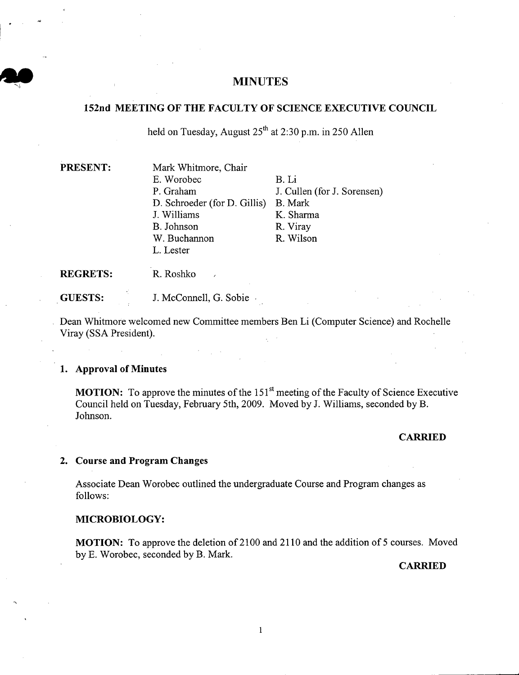# <sup>I</sup>**MINUTES**

# **152nd MEETING OF THE FACULTY OF SCIENCE EXECUTIVE COUNCIL**

held on Tuesday, August *<sup>2511</sup>*at 2:30 p.m. in *250* Allen

| <b>PRESENT:</b> | Mark Whitmore, Chair         |                             |
|-----------------|------------------------------|-----------------------------|
|                 | E. Worobec                   | B. Li                       |
|                 | P. Graham                    | J. Cullen (for J. Sorensen) |
|                 | D. Schroeder (for D. Gillis) | B. Mark                     |
|                 | J. Williams                  | K. Sharma                   |
|                 | B. Johnson                   | R. Viray                    |
|                 | W. Buchannon                 | R. Wilson                   |
|                 | L. Lester                    |                             |
|                 |                              |                             |

**REGRETS:** R.Roshko

**GUESTS:** J. McConnell, G. Sobie

Dean Whitmore welcomed new Committee members Ben Li (Computer Science) and Rochelle Viray (SSA President).

# **Approval of Minutes**

**MOTION:** To approve the minutes of the 151<sup>st</sup> meeting of the Faculty of Science Executive Council held on Tuesday, February 5th, 2009. Moved by J. Williams, seconded by B. Johnson.

### **CARRIED**

## **Course and Program Changes**

Associate Dean Worobec outlined the undergraduate Course and Program changes as follows:

# **MICROBIOLOGY:**

**MOTION:** To approve the deletion of 2100 and 2110 and the addition of 5 courses. Moved by E. Worobec, seconded by B. Mark.

**CARRIED**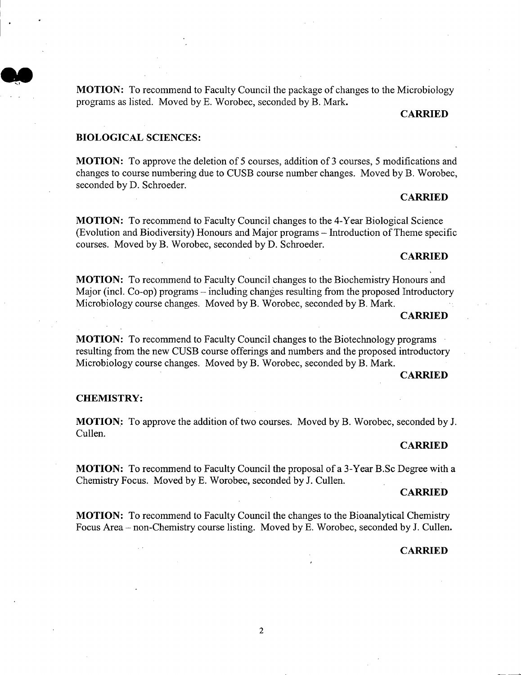**MOTION:** To recommend to Faculty Council the package of changes to the Microbiology programs as listed. Moved by B. Worobec, seconded by B. Mark.

# **CARRIED**

## **BIOLOGICAL SCIENCES:**

**I. 3** 

**MOTION:** To approve the deletion of *5* courses, addition of 3 courses, *5* modifications and changes to course numbering due to CUSB course number changes. Moved by B. Worobec, seconded by D. Schroeder.

### **CARRIED**

**MOTION:** To recommend to Faculty Council changes to the 4-Year Biological Science (Evolution and Biodiversity) Honours and Major programs - Introduction of Theme specific courses. Moved by B. Worobec, seconded by D. Schroeder.

# **CARRIED**

**MOTION:** To recommend to Faculty Council changes to the Biochemistry Honours and Major (incl. Co-op) programs – including changes resulting from the proposed Introductory Microbiology course changes. Moved by B. Worobec, seconded by B. Mark.

#### **CARRIED**

**MOTION:** To recommend to Faculty Council changes to the Biotechnology programs resulting from the new CUSB course offerings and numbers and the proposed introductory Microbiology course changes. Moved by B. Worobec, seconded by B. Mark.

#### **CARRIED**

### **CHEMISTRY:**

**MOTION:** To approve the addition of two courses. Moved by B. Worobec, seconded by J. Cullen.

## **CARRIED**

**MOTION:** To recommend to Faculty Council the proposal of a 3-Year B.Sc Degree with a Chemistry Focus. Moved by B. Worobec, seconded by J. Cullen.

### **CARRIED**

**MOTION:** To recommend to Faculty Council the changes to the Bioanalytical Chemistry Focus Area - non-Chemistry course listing. Moved by E. Worobec, seconded by J. Cullen.

## **CARRIED**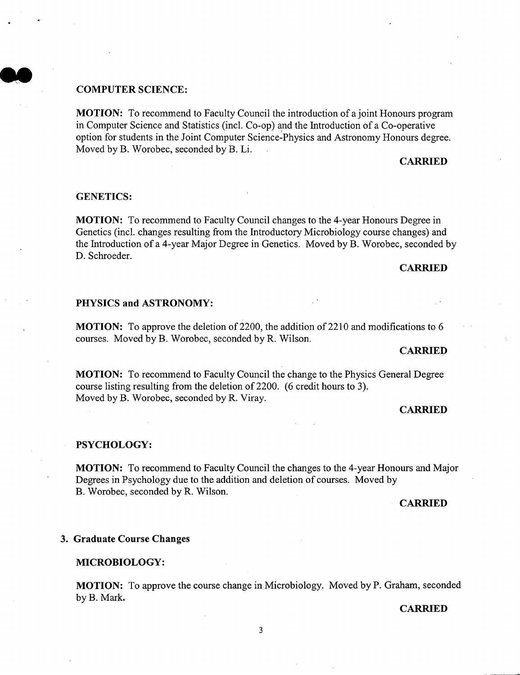## **COMPUTER SCIENCE:**

**MOTION:** To recommend to Faculty Council the introduction of a joint Honours program in Computer Science and Statistics (mci. Co-op) and the Introduction of a Co-operative option for students in the Joint Computer Science-Physics and Astronomy Honours degree. Moved by B. Worobec, seconded by B. Li.

## **CARRIED**

#### **GENETICS:**

**MOTION:** To recommend to Faculty Council changes to the 4-year Honours Degree in Genetics (mci. changes resulting from the Introductory Microbiology course changes) and the Introduction of a 4-year Major Degree in Genetics. Moved by B. Worobec, seconded by D. Schroeder.

## **CARRIED**

#### **PHYSICS and ASTRONOMY:**

**MOTION:** To approve the deletion of 2200, the addition of 2210 and modifications to 6 courses. Moved by B. Worobec, seconded by R. Wilson.

#### **CARRIED**

**MOTION:** To recommend to Faculty Council the change to the Physics General Degree course listing resulting from the deletion of 2200. (6 credit hours to 3). Moved by B. Worobec, seconded by R. Viray.

## **CARRIED**

#### **PSYCHOLOGY:**

**MOTION:** To recommend to Faculty Council the changes to the 4-year Honours and Major Degrees in Psychology due to the addition and deletion of courses. Moved by B. Worobec, seconded by R. Wilson.

#### **CARRIED**

#### **3. Graduate Course Changes**

#### **MICROBIOLOGY:**

**MOTION:** To approve the course change in Microbiology. Moved by P. Graham, seconded by B. Mark.

#### **CARRIED**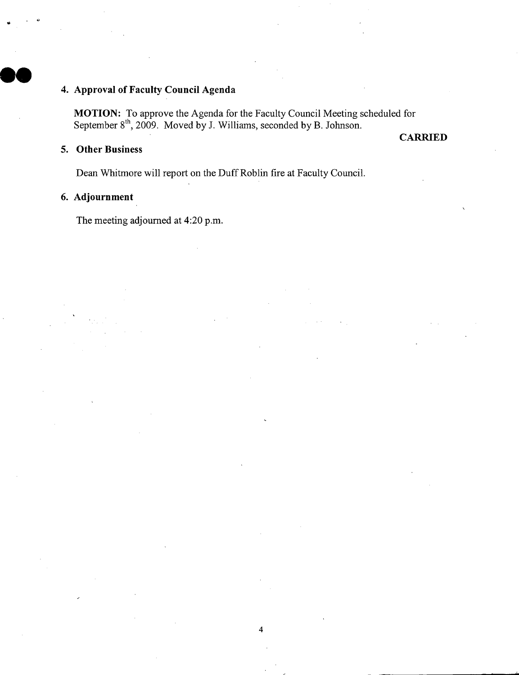# **Approval of Faculty Council Agenda**

**MOTION:** To approve the Agenda for the Faculty Council Meeting scheduled for September  $8<sup>th</sup>$ , 2009. Moved by J. Williams, seconded by B. Johnson.

# **Other Business**

**CARRIED** 

Dean Whitmore will report on the Duff Roblin fire at Faculty Council.

# **Adjournment**

The meeting adjourned at 4:20 p.m.